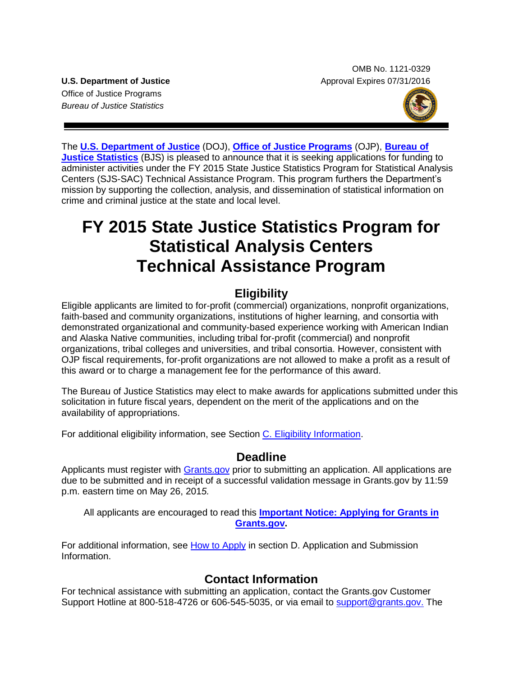OMB No. 1121-0329 **U.S. Department of Justice** Approval Expires 07/31/2016

Office of Justice Programs *Bureau of Justice Statistics*



The **[U.S. Department of Justice](http://www.usdoj.gov/)** (DOJ), **[Office of Justice Programs](http://www.ojp.usdoj.gov/)** (OJP), **[Bureau of](http://www.bjs.gov/)  [Justice Statistics](http://www.bjs.gov/)** (BJS) is pleased to announce that it is seeking applications for funding to administer activities under the FY 2015 State Justice Statistics Program for Statistical Analysis Centers (SJS-SAC) Technical Assistance Program. This program furthers the Department's mission by supporting the collection, analysis, and dissemination of statistical information on crime and criminal justice at the state and local level.

# **FY 2015 State Justice Statistics Program for Statistical Analysis Centers Technical Assistance Program**

# **Eligibility**

Eligible applicants are limited to for-profit (commercial) organizations, nonprofit organizations, faith-based and community organizations, institutions of higher learning, and consortia with demonstrated organizational and community-based experience working with American Indian and Alaska Native communities, including tribal for-profit (commercial) and nonprofit organizations, tribal colleges and universities, and tribal consortia. However, consistent with OJP fiscal requirements, for-profit organizations are not allowed to make a profit as a result of this award or to charge a management fee for the performance of this award.

The Bureau of Justice Statistics may elect to make awards for applications submitted under this solicitation in future fiscal years, dependent on the merit of the applications and on the availability of appropriations.

For additional eligibility information, see Section [C. Eligibility Information.](#page-10-0)

# **Deadline**

Applicants must register with [Grants.gov](http://www.grants.gov/applicants/apply_for_grants.jsp) prior to submitting an application. All applications are due to be submitted and in receipt of a successful validation message in Grants.gov by 11:59 p.m. eastern time on May 26, 201*5.*

All applicants are encouraged to read this **[Important Notice: Applying for Grants in](http://ojp.gov/funding/Apply/Grants-govInfo.htm)  [Grants.gov.](http://ojp.gov/funding/Apply/Grants-govInfo.htm)**

For additional information, see [How to Apply](#page-20-0) in section D. Application and Submission [Information.](#page-10-1)

# **Contact Information**

For technical assistance with submitting an application, contact the Grants.gov Customer Support Hotline at 800-518-4726 or 606-545-5035, or via email to [support@grants.gov.](mailto:support@grants.gov) The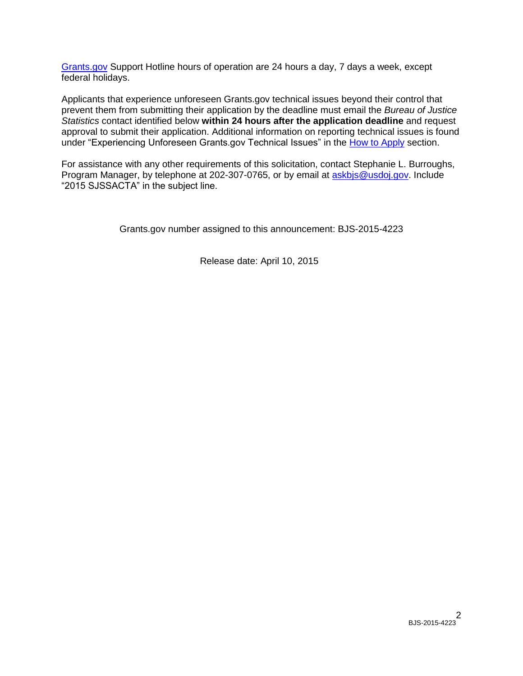[Grants.gov](http://www.grants.gov/applicants/apply_for_grants.jsp) Support Hotline hours of operation are 24 hours a day, 7 days a week, except federal holidays.

Applicants that experience unforeseen Grants.gov technical issues beyond their control that prevent them from submitting their application by the deadline must email the *Bureau of Justice Statistics* contact identified below **within 24 hours after the application deadline** and request approval to submit their application. Additional information on reporting technical issues is found under "Experiencing Unforeseen Grants.gov Technical Issues" in the [How to Apply](#page-20-0) section.

For assistance with any other requirements of this solicitation, contact Stephanie L. Burroughs, Program Manager, by telephone at 202-307-0765, or by email at [askbjs@usdoj.gov.](mailto:askbjs@usdoj.gov?subject=2015%20SJSSACTA) Include "2015 SJSSACTA" in the subject line.

Grants.gov number assigned to this announcement: BJS-2015-4223

Release date: April 10, 2015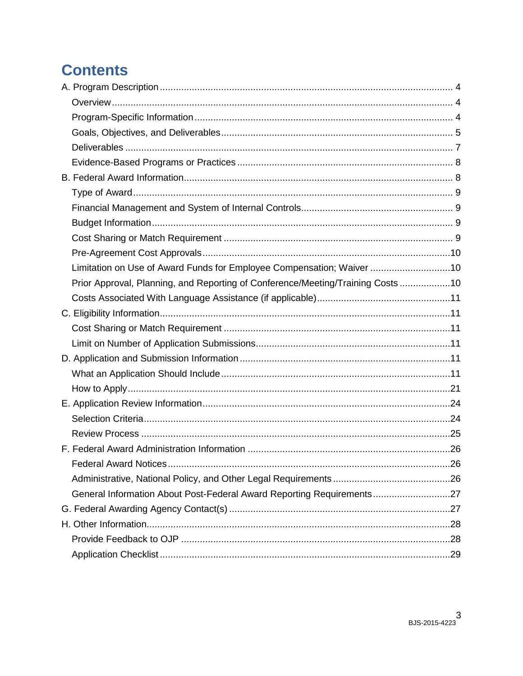# **Contents**

| Limitation on Use of Award Funds for Employee Compensation; Waiver 10          |  |
|--------------------------------------------------------------------------------|--|
| Prior Approval, Planning, and Reporting of Conference/Meeting/Training Costs10 |  |
|                                                                                |  |
|                                                                                |  |
|                                                                                |  |
|                                                                                |  |
|                                                                                |  |
|                                                                                |  |
|                                                                                |  |
|                                                                                |  |
|                                                                                |  |
|                                                                                |  |
|                                                                                |  |
|                                                                                |  |
|                                                                                |  |
| General Information About Post-Federal Award Reporting Requirements27          |  |
|                                                                                |  |
|                                                                                |  |
|                                                                                |  |
|                                                                                |  |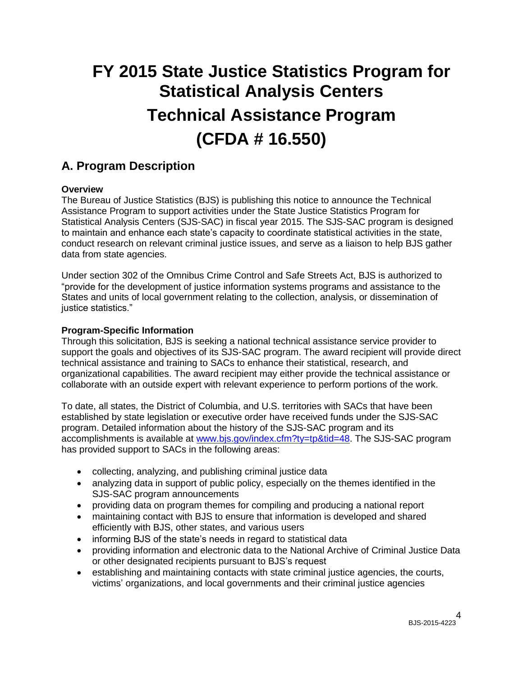# **FY 2015 State Justice Statistics Program for Statistical Analysis Centers Technical Assistance Program (CFDA # 16.550)**

# <span id="page-3-0"></span>**A. Program Description**

## <span id="page-3-1"></span>**Overview**

The Bureau of Justice Statistics (BJS) is publishing this notice to announce the Technical Assistance Program to support activities under the State Justice Statistics Program for Statistical Analysis Centers (SJS-SAC) in fiscal year 2015. The SJS-SAC program is designed to maintain and enhance each state's capacity to coordinate statistical activities in the state, conduct research on relevant criminal justice issues, and serve as a liaison to help BJS gather data from state agencies.

Under section 302 of the Omnibus Crime Control and Safe Streets Act, BJS is authorized to "provide for the development of justice information systems programs and assistance to the States and units of local government relating to the collection, analysis, or dissemination of justice statistics."

#### <span id="page-3-2"></span>**Program-Specific Information**

Through this solicitation, BJS is seeking a national technical assistance service provider to support the goals and objectives of its SJS-SAC program. The award recipient will provide direct technical assistance and training to SACs to enhance their statistical, research, and organizational capabilities. The award recipient may either provide the technical assistance or collaborate with an outside expert with relevant experience to perform portions of the work.

To date, all states, the District of Columbia, and U.S. territories with SACs that have been established by state legislation or executive order have received funds under the SJS-SAC program. Detailed information about the history of the SJS-SAC program and its accomplishments is available at [www.bjs.gov/index.cfm?ty=tp&tid=48.](http://www.bjs.gov/index.cfm?ty=tp&tid=48) The SJS-SAC program has provided support to SACs in the following areas:

- collecting, analyzing, and publishing criminal justice data
- analyzing data in support of public policy, especially on the themes identified in the SJS-SAC program announcements
- providing data on program themes for compiling and producing a national report
- maintaining contact with BJS to ensure that information is developed and shared efficiently with BJS, other states, and various users
- informing BJS of the state's needs in regard to statistical data
- providing information and electronic data to the National Archive of Criminal Justice Data or other designated recipients pursuant to BJS's request
- establishing and maintaining contacts with state criminal justice agencies, the courts, victims' organizations, and local governments and their criminal justice agencies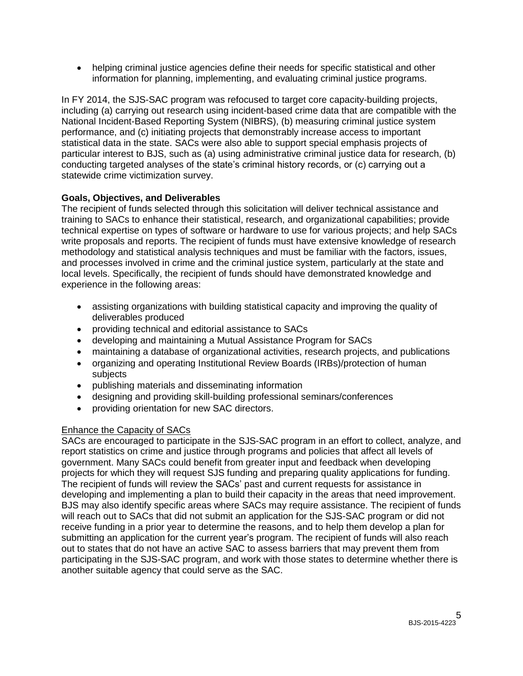helping criminal justice agencies define their needs for specific statistical and other information for planning, implementing, and evaluating criminal justice programs.

In FY 2014, the SJS-SAC program was refocused to target core capacity-building projects, including (a) carrying out research using incident-based crime data that are compatible with the National Incident-Based Reporting System (NIBRS), (b) measuring criminal justice system performance, and (c) initiating projects that demonstrably increase access to important statistical data in the state. SACs were also able to support special emphasis projects of particular interest to BJS, such as (a) using administrative criminal justice data for research, (b) conducting targeted analyses of the state's criminal history records, or (c) carrying out a statewide crime victimization survey.

#### <span id="page-4-0"></span>**Goals, Objectives, and Deliverables**

The recipient of funds selected through this solicitation will deliver technical assistance and training to SACs to enhance their statistical, research, and organizational capabilities; provide technical expertise on types of software or hardware to use for various projects; and help SACs write proposals and reports. The recipient of funds must have extensive knowledge of research methodology and statistical analysis techniques and must be familiar with the factors, issues, and processes involved in crime and the criminal justice system, particularly at the state and local levels. Specifically, the recipient of funds should have demonstrated knowledge and experience in the following areas:

- assisting organizations with building statistical capacity and improving the quality of deliverables produced
- providing technical and editorial assistance to SACs
- developing and maintaining a Mutual Assistance Program for SACs
- maintaining a database of organizational activities, research projects, and publications
- organizing and operating Institutional Review Boards (IRBs)/protection of human subjects
- publishing materials and disseminating information
- designing and providing skill-building professional seminars/conferences
- providing orientation for new SAC directors.

## Enhance the Capacity of SACs

SACs are encouraged to participate in the SJS-SAC program in an effort to collect, analyze, and report statistics on crime and justice through programs and policies that affect all levels of government. Many SACs could benefit from greater input and feedback when developing projects for which they will request SJS funding and preparing quality applications for funding. The recipient of funds will review the SACs' past and current requests for assistance in developing and implementing a plan to build their capacity in the areas that need improvement. BJS may also identify specific areas where SACs may require assistance. The recipient of funds will reach out to SACs that did not submit an application for the SJS-SAC program or did not receive funding in a prior year to determine the reasons, and to help them develop a plan for submitting an application for the current year's program. The recipient of funds will also reach out to states that do not have an active SAC to assess barriers that may prevent them from participating in the SJS-SAC program, and work with those states to determine whether there is another suitable agency that could serve as the SAC.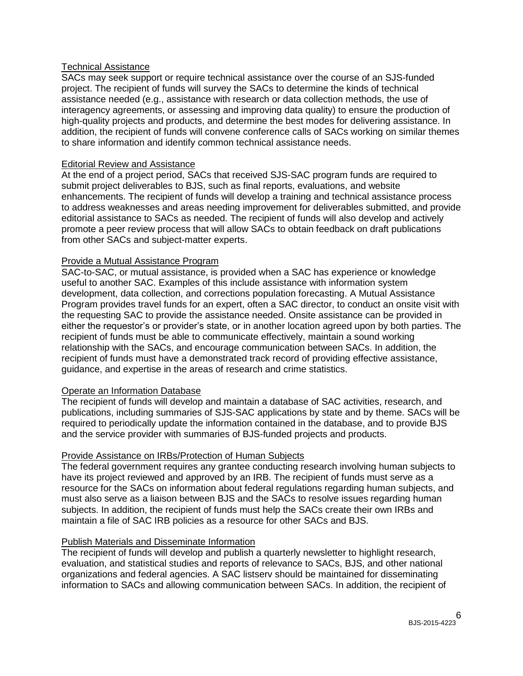#### Technical Assistance

SACs may seek support or require technical assistance over the course of an SJS-funded project. The recipient of funds will survey the SACs to determine the kinds of technical assistance needed (e.g., assistance with research or data collection methods, the use of interagency agreements, or assessing and improving data quality) to ensure the production of high-quality projects and products, and determine the best modes for delivering assistance. In addition, the recipient of funds will convene conference calls of SACs working on similar themes to share information and identify common technical assistance needs.

#### Editorial Review and Assistance

At the end of a project period, SACs that received SJS-SAC program funds are required to submit project deliverables to BJS, such as final reports, evaluations, and website enhancements. The recipient of funds will develop a training and technical assistance process to address weaknesses and areas needing improvement for deliverables submitted, and provide editorial assistance to SACs as needed. The recipient of funds will also develop and actively promote a peer review process that will allow SACs to obtain feedback on draft publications from other SACs and subject-matter experts.

#### Provide a Mutual Assistance Program

SAC-to-SAC, or mutual assistance, is provided when a SAC has experience or knowledge useful to another SAC. Examples of this include assistance with information system development, data collection, and corrections population forecasting. A Mutual Assistance Program provides travel funds for an expert, often a SAC director, to conduct an onsite visit with the requesting SAC to provide the assistance needed. Onsite assistance can be provided in either the requestor's or provider's state, or in another location agreed upon by both parties. The recipient of funds must be able to communicate effectively, maintain a sound working relationship with the SACs, and encourage communication between SACs. In addition, the recipient of funds must have a demonstrated track record of providing effective assistance, guidance, and expertise in the areas of research and crime statistics.

#### Operate an Information Database

The recipient of funds will develop and maintain a database of SAC activities, research, and publications, including summaries of SJS-SAC applications by state and by theme. SACs will be required to periodically update the information contained in the database, and to provide BJS and the service provider with summaries of BJS-funded projects and products.

#### Provide Assistance on IRBs/Protection of Human Subjects

The federal government requires any grantee conducting research involving human subjects to have its project reviewed and approved by an IRB. The recipient of funds must serve as a resource for the SACs on information about federal regulations regarding human subjects, and must also serve as a liaison between BJS and the SACs to resolve issues regarding human subjects. In addition, the recipient of funds must help the SACs create their own IRBs and maintain a file of SAC IRB policies as a resource for other SACs and BJS.

#### Publish Materials and Disseminate Information

The recipient of funds will develop and publish a quarterly newsletter to highlight research, evaluation, and statistical studies and reports of relevance to SACs, BJS, and other national organizations and federal agencies. A SAC listserv should be maintained for disseminating information to SACs and allowing communication between SACs. In addition, the recipient of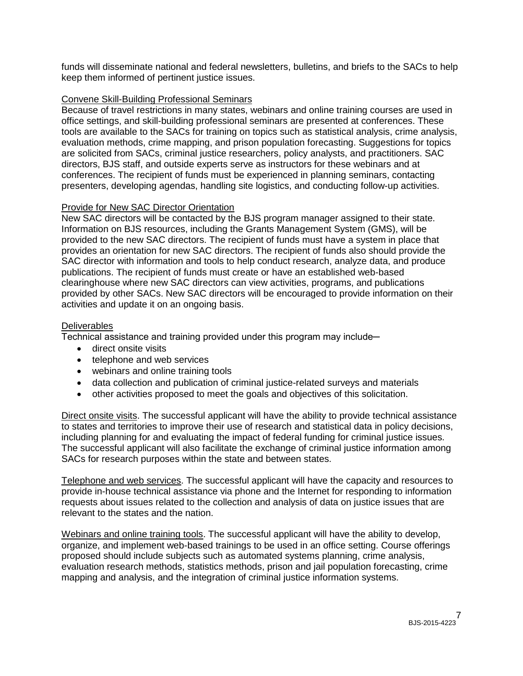funds will disseminate national and federal newsletters, bulletins, and briefs to the SACs to help keep them informed of pertinent justice issues.

#### Convene Skill-Building Professional Seminars

Because of travel restrictions in many states, webinars and online training courses are used in office settings, and skill-building professional seminars are presented at conferences. These tools are available to the SACs for training on topics such as statistical analysis, crime analysis, evaluation methods, crime mapping, and prison population forecasting. Suggestions for topics are solicited from SACs, criminal justice researchers, policy analysts, and practitioners. SAC directors, BJS staff, and outside experts serve as instructors for these webinars and at conferences. The recipient of funds must be experienced in planning seminars, contacting presenters, developing agendas, handling site logistics, and conducting follow-up activities.

#### Provide for New SAC Director Orientation

New SAC directors will be contacted by the BJS program manager assigned to their state. Information on BJS resources, including the Grants Management System (GMS), will be provided to the new SAC directors. The recipient of funds must have a system in place that provides an orientation for new SAC directors. The recipient of funds also should provide the SAC director with information and tools to help conduct research, analyze data, and produce publications. The recipient of funds must create or have an established web-based clearinghouse where new SAC directors can view activities, programs, and publications provided by other SACs. New SAC directors will be encouraged to provide information on their activities and update it on an ongoing basis.

#### <span id="page-6-0"></span>**Deliverables**

Technical assistance and training provided under this program may include-

- direct onsite visits
- telephone and web services
- webinars and online training tools
- data collection and publication of criminal justice-related surveys and materials
- other activities proposed to meet the goals and objectives of this solicitation.

Direct onsite visits. The successful applicant will have the ability to provide technical assistance to states and territories to improve their use of research and statistical data in policy decisions, including planning for and evaluating the impact of federal funding for criminal justice issues. The successful applicant will also facilitate the exchange of criminal justice information among SACs for research purposes within the state and between states.

Telephone and web services. The successful applicant will have the capacity and resources to provide in-house technical assistance via phone and the Internet for responding to information requests about issues related to the collection and analysis of data on justice issues that are relevant to the states and the nation.

Webinars and online training tools. The successful applicant will have the ability to develop, organize, and implement web-based trainings to be used in an office setting. Course offerings proposed should include subjects such as automated systems planning, crime analysis, evaluation research methods, statistics methods, prison and jail population forecasting, crime mapping and analysis, and the integration of criminal justice information systems.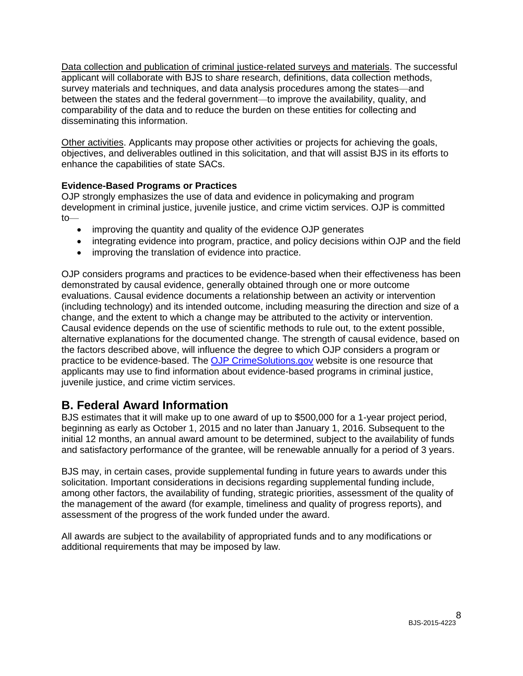Data collection and publication of criminal justice-related surveys and materials. The successful applicant will collaborate with BJS to share research, definitions, data collection methods, survey materials and techniques, and data analysis procedures among the states—and between the states and the federal government—to improve the availability, quality, and comparability of the data and to reduce the burden on these entities for collecting and disseminating this information.

Other activities. Applicants may propose other activities or projects for achieving the goals, objectives, and deliverables outlined in this solicitation, and that will assist BJS in its efforts to enhance the capabilities of state SACs.

## <span id="page-7-0"></span>**Evidence-Based Programs or Practices**

OJP strongly emphasizes the use of data and evidence in policymaking and program development in criminal justice, juvenile justice, and crime victim services. OJP is committed to—

- improving the quantity and quality of the evidence OJP generates
- integrating evidence into program, practice, and policy decisions within OJP and the field
- improving the translation of evidence into practice.

OJP considers programs and practices to be evidence-based when their effectiveness has been demonstrated by causal evidence, generally obtained through one or more outcome evaluations. Causal evidence documents a relationship between an activity or intervention (including technology) and its intended outcome, including measuring the direction and size of a change, and the extent to which a change may be attributed to the activity or intervention. Causal evidence depends on the use of scientific methods to rule out, to the extent possible, alternative explanations for the documented change. The strength of causal evidence, based on the factors described above, will influence the degree to which OJP considers a program or practice to be evidence-based. The [OJP CrimeSolutions.gov](http://www.crimesolutions.gov/) website is one resource that applicants may use to find information about evidence-based programs in criminal justice, juvenile justice, and crime victim services.

# <span id="page-7-1"></span>**B. Federal Award Information**

BJS estimates that it will make up to one award of up to \$500,000 for a 1-year project period, beginning as early as October 1, 2015 and no later than January 1, 2016. Subsequent to the initial 12 months, an annual award amount to be determined, subject to the availability of funds and satisfactory performance of the grantee, will be renewable annually for a period of 3 years.

BJS may, in certain cases, provide supplemental funding in future years to awards under this solicitation. Important considerations in decisions regarding supplemental funding include, among other factors, the availability of funding, strategic priorities, assessment of the quality of the management of the award (for example, timeliness and quality of progress reports), and assessment of the progress of the work funded under the award.

All awards are subject to the availability of appropriated funds and to any modifications or additional requirements that may be imposed by law.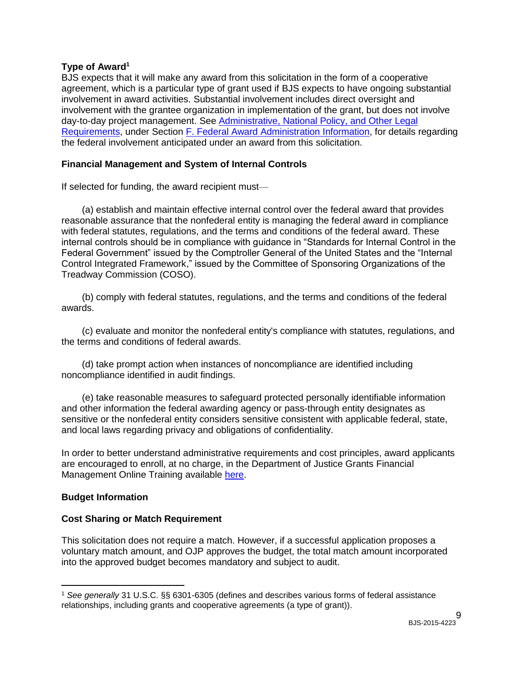#### <span id="page-8-0"></span>**Type of Award<sup>1</sup>**

BJS expects that it will make any award from this solicitation in the form of a cooperative agreement, which is a particular type of grant used if BJS expects to have ongoing substantial involvement in award activities. Substantial involvement includes direct oversight and involvement with the grantee organization in implementation of the grant, but does not involve day-to-day project management. See [Administrative, National Policy, and Other Legal](#page-25-0)  [Requirements,](#page-25-0) under Section [F. Federal Award Administration Information,](#page-25-0) for details regarding the federal involvement anticipated under an award from this solicitation.

### <span id="page-8-1"></span>**Financial Management and System of Internal Controls**

If selected for funding, the award recipient must—

(a) establish and maintain effective internal control over the federal award that provides reasonable assurance that the nonfederal entity is managing the federal award in compliance with federal statutes, regulations, and the terms and conditions of the federal award. These internal controls should be in compliance with guidance in "Standards for Internal Control in the Federal Government" issued by the Comptroller General of the United States and the "Internal Control Integrated Framework," issued by the Committee of Sponsoring Organizations of the Treadway Commission (COSO).

(b) comply with federal statutes, regulations, and the terms and conditions of the federal awards.

(c) evaluate and monitor the nonfederal entity's compliance with statutes, regulations, and the terms and conditions of federal awards.

(d) take prompt action when instances of noncompliance are identified including noncompliance identified in audit findings.

(e) take reasonable measures to safeguard protected personally identifiable information and other information the federal awarding agency or pass-through entity designates as sensitive or the nonfederal entity considers sensitive consistent with applicable federal, state, and local laws regarding privacy and obligations of confidentiality.

In order to better understand administrative requirements and cost principles, award applicants are encouraged to enroll, at no charge, in the Department of Justice Grants Financial Management Online Training available [here.](http://gfm.webfirst.com/)

#### <span id="page-8-2"></span>**Budget Information**

 $\overline{a}$ 

#### <span id="page-8-3"></span>**Cost Sharing or Match Requirement**

This solicitation does not require a match. However, if a successful application proposes a voluntary match amount, and OJP approves the budget, the total match amount incorporated into the approved budget becomes mandatory and subject to audit.

<sup>1</sup> *See generally* 31 U.S.C. §§ 6301-6305 (defines and describes various forms of federal assistance relationships, including grants and cooperative agreements (a type of grant)).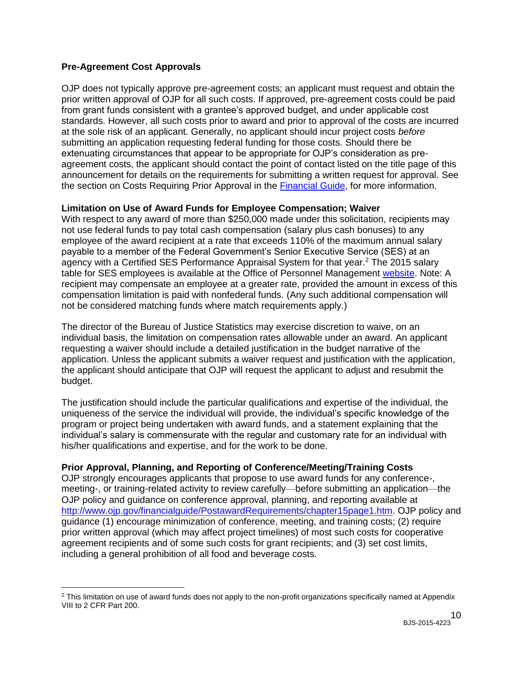#### <span id="page-9-0"></span>**Pre-Agreement Cost Approvals**

 $\overline{a}$ 

OJP does not typically approve pre-agreement costs; an applicant must request and obtain the prior written approval of OJP for all such costs. If approved, pre-agreement costs could be paid from grant funds consistent with a grantee's approved budget, and under applicable cost standards. However, all such costs prior to award and prior to approval of the costs are incurred at the sole risk of an applicant. Generally, no applicant should incur project costs *before* submitting an application requesting federal funding for those costs. Should there be extenuating circumstances that appear to be appropriate for OJP's consideration as preagreement costs, the applicant should contact the point of contact listed on the title page of this announcement for details on the requirements for submitting a written request for approval. See the section on Costs Requiring Prior Approval in the [Financial Guide,](http://ojp.gov/financialguide/index.htm) for more information.

#### <span id="page-9-1"></span>**Limitation on Use of Award Funds for Employee Compensation; Waiver**

With respect to any award of more than \$250,000 made under this solicitation, recipients may not use federal funds to pay total cash compensation (salary plus cash bonuses) to any employee of the award recipient at a rate that exceeds 110% of the maximum annual salary payable to a member of the Federal Government's Senior Executive Service (SES) at an agency with a Certified SES Performance Appraisal System for that year.<sup>2</sup> The 2015 salary table for SES employees is available at the Office of Personnel Management [website.](http://www.opm.gov/policy-data-oversight/pay-leave/salaries-wages/salary-tables/15Tables/exec/html/ES.aspx) Note: A recipient may compensate an employee at a greater rate, provided the amount in excess of this compensation limitation is paid with nonfederal funds. (Any such additional compensation will not be considered matching funds where match requirements apply.)

The director of the Bureau of Justice Statistics may exercise discretion to waive, on an individual basis, the limitation on compensation rates allowable under an award. An applicant requesting a waiver should include a detailed justification in the budget narrative of the application. Unless the applicant submits a waiver request and justification with the application, the applicant should anticipate that OJP will request the applicant to adjust and resubmit the budget.

The justification should include the particular qualifications and expertise of the individual, the uniqueness of the service the individual will provide, the individual's specific knowledge of the program or project being undertaken with award funds, and a statement explaining that the individual's salary is commensurate with the regular and customary rate for an individual with his/her qualifications and expertise, and for the work to be done.

## <span id="page-9-2"></span>**Prior Approval, Planning, and Reporting of Conference/Meeting/Training Costs**

OJP strongly encourages applicants that propose to use award funds for any conference-, meeting-, or training-related activity to review carefully—before submitting an application—the OJP policy and guidance on conference approval, planning, and reporting available at [http://www.ojp.gov/financialguide/PostawardRequirements/chapter15page1.htm.](http://www.ojp.gov/financialguide/PostawardRequirements/chapter15page1.htm) OJP policy and guidance (1) encourage minimization of conference, meeting, and training costs; (2) require prior written approval (which may affect project timelines) of most such costs for cooperative agreement recipients and of some such costs for grant recipients; and (3) set cost limits, including a general prohibition of all food and beverage costs.

<sup>&</sup>lt;sup>2</sup> This limitation on use of award funds does not apply to the non-profit organizations specifically named at Appendix VIII to 2 CFR Part 200.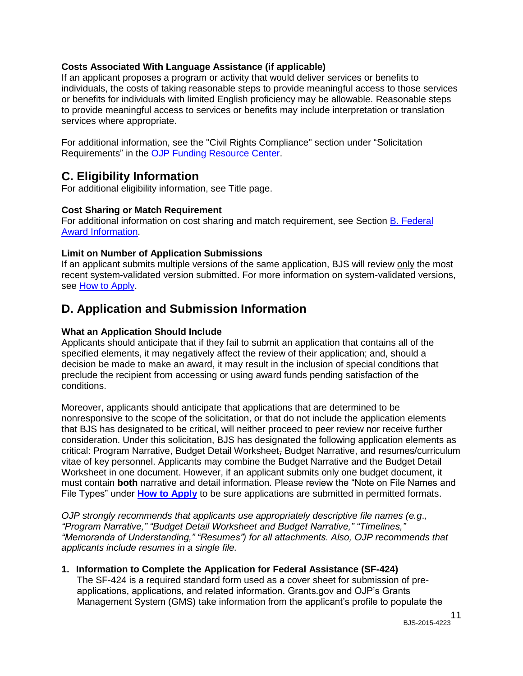#### <span id="page-10-2"></span>**Costs Associated With Language Assistance (if applicable)**

If an applicant proposes a program or activity that would deliver services or benefits to individuals, the costs of taking reasonable steps to provide meaningful access to those services or benefits for individuals with limited English proficiency may be allowable. Reasonable steps to provide meaningful access to services or benefits may include interpretation or translation services where appropriate.

For additional information, see the "Civil Rights Compliance" section under "Solicitation Requirements" in the [OJP Funding Resource Center.](http://ojp.gov/funding/index.htm)

# <span id="page-10-0"></span>**C. Eligibility Information**

For additional eligibility information, see Title page.

#### <span id="page-10-3"></span>**Cost Sharing or Match Requirement**

For additional information on cost sharing and match requirement, see Section [B. Federal](#page-7-1)  [Award Information.](#page-7-1)

#### <span id="page-10-4"></span>**Limit on Number of Application Submissions**

If an applicant submits multiple versions of the same application, BJS will review only the most recent system-validated version submitted. For more information on system-validated versions, see [How to Apply.](#page-20-0)

# <span id="page-10-1"></span>**D. Application and Submission Information**

#### <span id="page-10-5"></span>**What an Application Should Include**

Applicants should anticipate that if they fail to submit an application that contains all of the specified elements, it may negatively affect the review of their application; and, should a decision be made to make an award, it may result in the inclusion of special conditions that preclude the recipient from accessing or using award funds pending satisfaction of the conditions.

Moreover, applicants should anticipate that applications that are determined to be nonresponsive to the scope of the solicitation, or that do not include the application elements that BJS has designated to be critical, will neither proceed to peer review nor receive further consideration. Under this solicitation, BJS has designated the following application elements as critical: Program Narrative, Budget Detail Worksheet, Budget Narrative, and resumes/curriculum vitae of key personnel. Applicants may combine the Budget Narrative and the Budget Detail Worksheet in one document. However, if an applicant submits only one budget document, it must contain **both** narrative and detail information. Please review the "Note on File Names and File Types" under **[How to Apply](#page-20-0)** to be sure applications are submitted in permitted formats.

*OJP strongly recommends that applicants use appropriately descriptive file names (e.g*.*, "Program Narrative," "Budget Detail Worksheet and Budget Narrative," "Timelines," "Memoranda of Understanding," "Resumes") for all attachments. Also, OJP recommends that applicants include resumes in a single file.*

## **1. Information to Complete the Application for Federal Assistance (SF-424)**

The SF-424 is a required standard form used as a cover sheet for submission of preapplications, applications, and related information. Grants.gov and OJP's Grants Management System (GMS) take information from the applicant's profile to populate the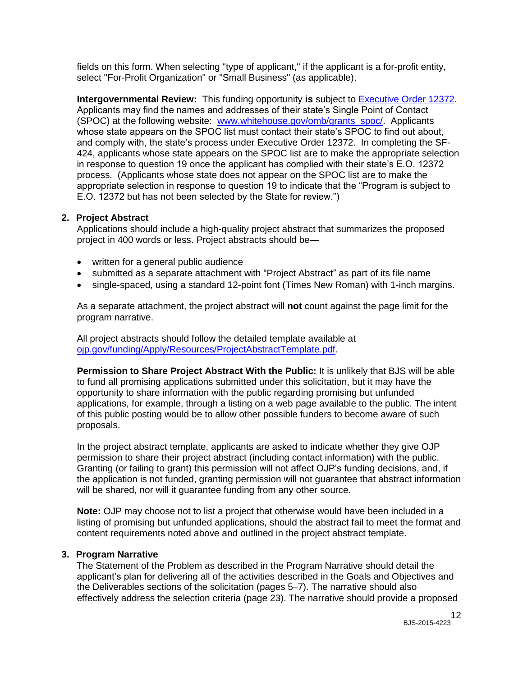fields on this form. When selecting "type of applicant," if the applicant is a for-profit entity, select "For-Profit Organization" or "Small Business" (as applicable).

**Intergovernmental Review:** This funding opportunity **is** subject to [Executive Order 12372.](http://www.archives.gov/federal-register/codification/executive-order/12372.html) Applicants may find the names and addresses of their state's Single Point of Contact (SPOC) at the following website: [www.whitehouse.gov/omb/grants\\_spoc/.](http://www.whitehouse.gov/omb/grants_spoc/) Applicants whose state appears on the SPOC list must contact their state's SPOC to find out about, and comply with, the state's process under Executive Order 12372. In completing the SF-424, applicants whose state appears on the SPOC list are to make the appropriate selection in response to question 19 once the applicant has complied with their state's E.O. 12372 process. (Applicants whose state does not appear on the SPOC list are to make the appropriate selection in response to question 19 to indicate that the "Program is subject to E.O. 12372 but has not been selected by the State for review.")

#### **2. Project Abstract**

Applications should include a high-quality project abstract that summarizes the proposed project in 400 words or less. Project abstracts should be—

- written for a general public audience
- submitted as a separate attachment with "Project Abstract" as part of its file name
- single-spaced, using a standard 12-point font (Times New Roman) with 1-inch margins.

As a separate attachment, the project abstract will **not** count against the page limit for the program narrative.

All project abstracts should follow the detailed template available at [ojp.gov/funding/Apply/Resources/ProjectAbstractTemplate.pdf.](http://ojp.gov/funding/Apply/Resources/ProjectAbstractTemplate.pdf)

**Permission to Share Project Abstract With the Public:** It is unlikely that BJS will be able to fund all promising applications submitted under this solicitation, but it may have the opportunity to share information with the public regarding promising but unfunded applications, for example, through a listing on a web page available to the public. The intent of this public posting would be to allow other possible funders to become aware of such proposals.

In the project abstract template, applicants are asked to indicate whether they give OJP permission to share their project abstract (including contact information) with the public. Granting (or failing to grant) this permission will not affect OJP's funding decisions, and, if the application is not funded, granting permission will not guarantee that abstract information will be shared, nor will it guarantee funding from any other source.

**Note:** OJP may choose not to list a project that otherwise would have been included in a listing of promising but unfunded applications, should the abstract fail to meet the format and content requirements noted above and outlined in the project abstract template.

#### **3. Program Narrative**

The Statement of the Problem as described in the Program Narrative should detail the applicant's plan for delivering all of the activities described in the Goals and Objectives and the Deliverables sections of the solicitation (pages 5–7). The narrative should also effectively address the selection criteria (page 23). The narrative should provide a proposed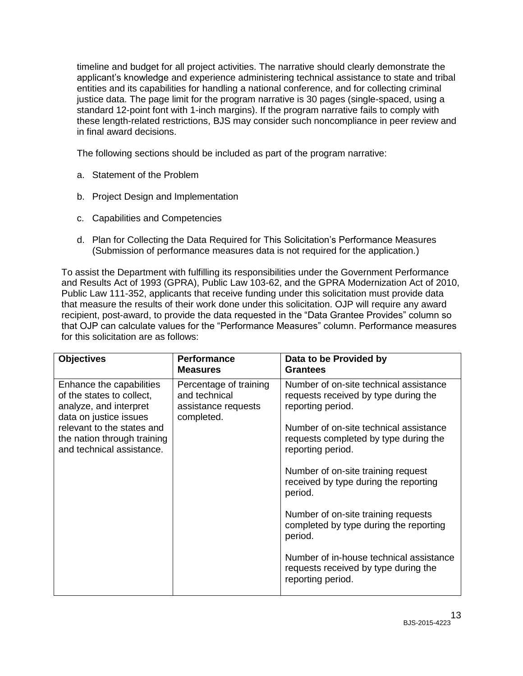timeline and budget for all project activities. The narrative should clearly demonstrate the applicant's knowledge and experience administering technical assistance to state and tribal entities and its capabilities for handling a national conference, and for collecting criminal justice data. The page limit for the program narrative is 30 pages (single-spaced, using a standard 12-point font with 1-inch margins). If the program narrative fails to comply with these length-related restrictions, BJS may consider such noncompliance in peer review and in final award decisions.

The following sections should be included as part of the program narrative:

- a. Statement of the Problem
- b. Project Design and Implementation
- c. Capabilities and Competencies
- d. Plan for Collecting the Data Required for This Solicitation's Performance Measures (Submission of performance measures data is not required for the application.)

To assist the Department with fulfilling its responsibilities under the Government Performance and Results Act of 1993 (GPRA), Public Law 103-62, and the GPRA Modernization Act of 2010, Public Law 111-352, applicants that receive funding under this solicitation must provide data that measure the results of their work done under this solicitation. OJP will require any award recipient, post-award, to provide the data requested in the "Data Grantee Provides" column so that OJP can calculate values for the "Performance Measures" column. Performance measures for this solicitation are as follows:

| <b>Objectives</b>                                                                                         | <b>Performance</b><br><b>Measures</b>                                        | Data to be Provided by<br><b>Grantees</b>                                                            |
|-----------------------------------------------------------------------------------------------------------|------------------------------------------------------------------------------|------------------------------------------------------------------------------------------------------|
| Enhance the capabilities<br>of the states to collect,<br>analyze, and interpret<br>data on justice issues | Percentage of training<br>and technical<br>assistance requests<br>completed. | Number of on-site technical assistance<br>requests received by type during the<br>reporting period.  |
| relevant to the states and<br>the nation through training<br>and technical assistance.                    |                                                                              | Number of on-site technical assistance<br>requests completed by type during the<br>reporting period. |
|                                                                                                           |                                                                              | Number of on-site training request<br>received by type during the reporting<br>period.               |
|                                                                                                           |                                                                              | Number of on-site training requests<br>completed by type during the reporting<br>period.             |
|                                                                                                           |                                                                              | Number of in-house technical assistance<br>requests received by type during the<br>reporting period. |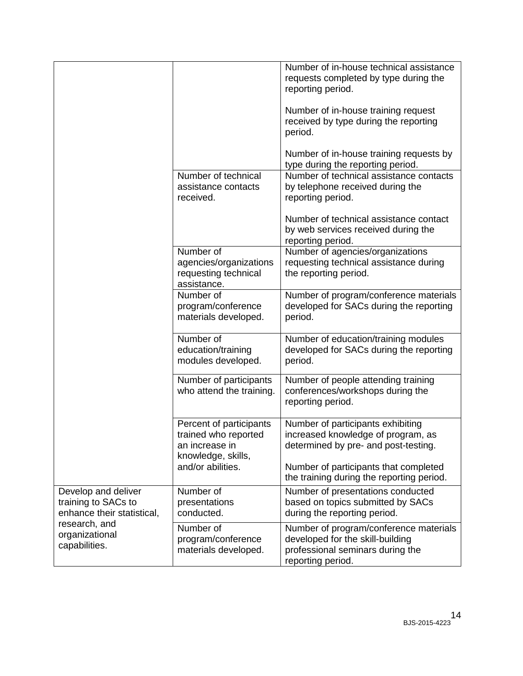|                                                                          |                                                                                         | Number of in-house technical assistance<br>requests completed by type during the<br>reporting period.                               |
|--------------------------------------------------------------------------|-----------------------------------------------------------------------------------------|-------------------------------------------------------------------------------------------------------------------------------------|
|                                                                          |                                                                                         | Number of in-house training request<br>received by type during the reporting<br>period.                                             |
|                                                                          |                                                                                         | Number of in-house training requests by<br>type during the reporting period.                                                        |
|                                                                          | Number of technical<br>assistance contacts<br>received.                                 | Number of technical assistance contacts<br>by telephone received during the<br>reporting period.                                    |
|                                                                          |                                                                                         | Number of technical assistance contact<br>by web services received during the<br>reporting period.                                  |
|                                                                          | Number of<br>agencies/organizations<br>requesting technical<br>assistance.              | Number of agencies/organizations<br>requesting technical assistance during<br>the reporting period.                                 |
|                                                                          | Number of<br>program/conference<br>materials developed.                                 | Number of program/conference materials<br>developed for SACs during the reporting<br>period.                                        |
|                                                                          | Number of<br>education/training<br>modules developed.                                   | Number of education/training modules<br>developed for SACs during the reporting<br>period.                                          |
|                                                                          | Number of participants<br>who attend the training.                                      | Number of people attending training<br>conferences/workshops during the<br>reporting period.                                        |
|                                                                          | Percent of participants<br>trained who reported<br>an increase in<br>knowledge, skills, | Number of participants exhibiting<br>increased knowledge of program, as<br>determined by pre- and post-testing.                     |
|                                                                          | and/or abilities.                                                                       | Number of participants that completed<br>the training during the reporting period.                                                  |
| Develop and deliver<br>training to SACs to<br>enhance their statistical, | Number of<br>presentations<br>conducted.                                                | Number of presentations conducted<br>based on topics submitted by SACs<br>during the reporting period.                              |
| research, and<br>organizational<br>capabilities.                         | Number of<br>program/conference<br>materials developed.                                 | Number of program/conference materials<br>developed for the skill-building<br>professional seminars during the<br>reporting period. |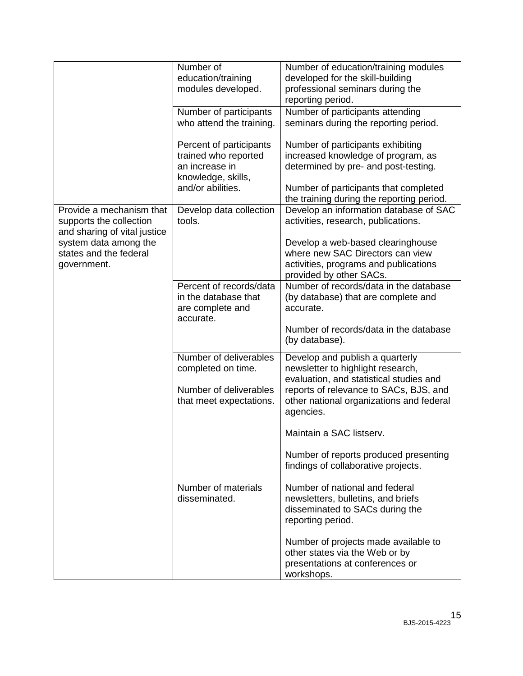|                                                 | Number of                | Number of education/training modules                                   |
|-------------------------------------------------|--------------------------|------------------------------------------------------------------------|
|                                                 | education/training       | developed for the skill-building                                       |
|                                                 | modules developed.       | professional seminars during the                                       |
|                                                 |                          | reporting period.                                                      |
|                                                 | Number of participants   | Number of participants attending                                       |
|                                                 | who attend the training. | seminars during the reporting period.                                  |
|                                                 |                          |                                                                        |
|                                                 | Percent of participants  | Number of participants exhibiting                                      |
|                                                 | trained who reported     | increased knowledge of program, as                                     |
|                                                 | an increase in           | determined by pre- and post-testing.                                   |
|                                                 | knowledge, skills,       |                                                                        |
|                                                 | and/or abilities.        | Number of participants that completed                                  |
|                                                 |                          | the training during the reporting period.                              |
| Provide a mechanism that                        | Develop data collection  | Develop an information database of SAC                                 |
| supports the collection                         | tools.                   | activities, research, publications.                                    |
| and sharing of vital justice                    |                          |                                                                        |
| system data among the<br>states and the federal |                          | Develop a web-based clearinghouse<br>where new SAC Directors can view  |
| government.                                     |                          | activities, programs and publications                                  |
|                                                 |                          | provided by other SACs.                                                |
|                                                 | Percent of records/data  | Number of records/data in the database                                 |
|                                                 | in the database that     | (by database) that are complete and                                    |
|                                                 | are complete and         | accurate.                                                              |
|                                                 | accurate.                |                                                                        |
|                                                 |                          | Number of records/data in the database                                 |
|                                                 |                          | (by database).                                                         |
|                                                 | Number of deliverables   | Develop and publish a quarterly                                        |
|                                                 | completed on time.       | newsletter to highlight research,                                      |
|                                                 |                          | evaluation, and statistical studies and                                |
|                                                 | Number of deliverables   | reports of relevance to SACs, BJS, and                                 |
|                                                 | that meet expectations.  | other national organizations and federal                               |
|                                                 |                          | agencies.                                                              |
|                                                 |                          |                                                                        |
|                                                 |                          | Maintain a SAC listserv.                                               |
|                                                 |                          | Number of reports produced presenting                                  |
|                                                 |                          | findings of collaborative projects.                                    |
|                                                 |                          |                                                                        |
|                                                 | Number of materials      | Number of national and federal                                         |
|                                                 | disseminated.            | newsletters, bulletins, and briefs                                     |
|                                                 |                          | disseminated to SACs during the                                        |
|                                                 |                          | reporting period.                                                      |
|                                                 |                          |                                                                        |
|                                                 |                          | Number of projects made available to<br>other states via the Web or by |
|                                                 |                          | presentations at conferences or                                        |
|                                                 |                          | workshops.                                                             |
|                                                 |                          |                                                                        |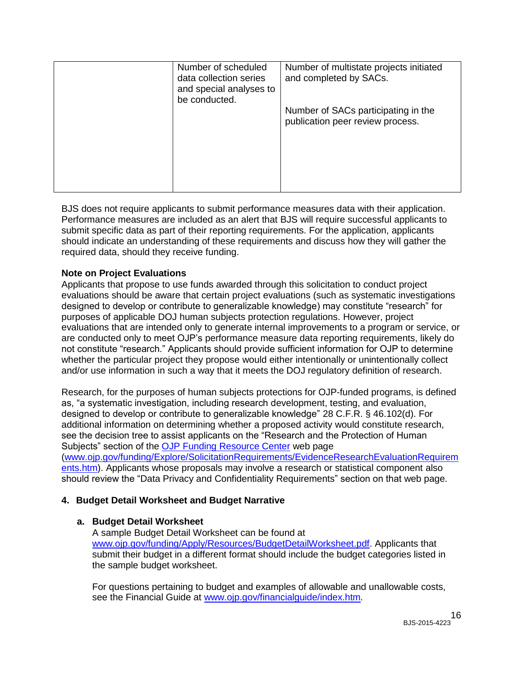| Number of scheduled<br>data collection series<br>and special analyses to<br>be conducted. | Number of multistate projects initiated<br>and completed by SACs.       |
|-------------------------------------------------------------------------------------------|-------------------------------------------------------------------------|
|                                                                                           | Number of SACs participating in the<br>publication peer review process. |
|                                                                                           |                                                                         |

BJS does not require applicants to submit performance measures data with their application. Performance measures are included as an alert that BJS will require successful applicants to submit specific data as part of their reporting requirements. For the application, applicants should indicate an understanding of these requirements and discuss how they will gather the required data, should they receive funding.

#### **Note on Project Evaluations**

Applicants that propose to use funds awarded through this solicitation to conduct project evaluations should be aware that certain project evaluations (such as systematic investigations designed to develop or contribute to generalizable knowledge) may constitute "research" for purposes of applicable DOJ human subjects protection regulations. However, project evaluations that are intended only to generate internal improvements to a program or service, or are conducted only to meet OJP's performance measure data reporting requirements, likely do not constitute "research." Applicants should provide sufficient information for OJP to determine whether the particular project they propose would either intentionally or unintentionally collect and/or use information in such a way that it meets the DOJ regulatory definition of research.

Research, for the purposes of human subjects protections for OJP-funded programs, is defined as, "a systematic investigation, including research development, testing, and evaluation, designed to develop or contribute to generalizable knowledge" 28 C.F.R. § 46.102(d). For additional information on determining whether a proposed activity would constitute research, see the decision tree to assist applicants on the "Research and the Protection of Human Subjects" section of the **OJP Funding Resource Center** web page [\(www.ojp.gov/funding/Explore/SolicitationRequirements/EvidenceResearchEvaluationRequirem](http://www.ojp.gov/funding/Explore/SolicitationRequirements/EvidenceResearchEvaluationRequirements.htm) [ents.htm\)](http://www.ojp.gov/funding/Explore/SolicitationRequirements/EvidenceResearchEvaluationRequirements.htm). Applicants whose proposals may involve a research or statistical component also should review the "Data Privacy and Confidentiality Requirements" section on that web page.

## **4. Budget Detail Worksheet and Budget Narrative**

#### **a. Budget Detail Worksheet**

A sample Budget Detail Worksheet can be found at [www.ojp.gov/funding/Apply/Resources/BudgetDetailWorksheet.pdf.](http://ojp.gov/funding/Apply/Resources/BudgetDetailWorksheet.pdf) Applicants that submit their budget in a different format should include the budget categories listed in the sample budget worksheet.

For questions pertaining to budget and examples of allowable and unallowable costs, see the Financial Guide at [www.ojp.gov/financialguide/index.htm](http://www.ojp.gov/financialguide/index.htm)*.*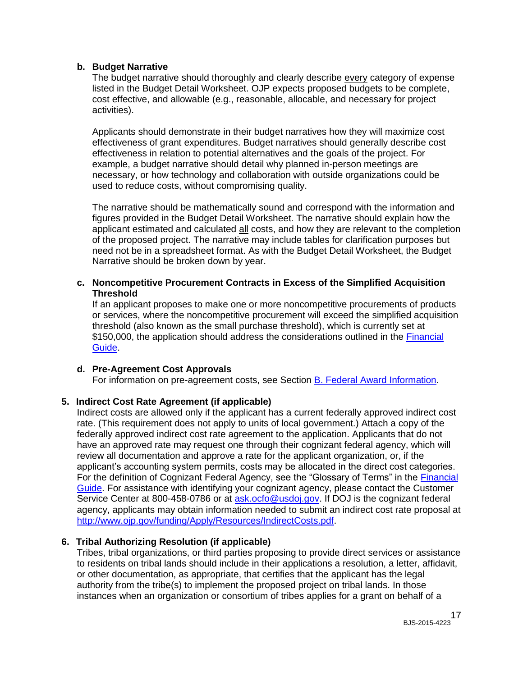#### **b. Budget Narrative**

The budget narrative should thoroughly and clearly describe every category of expense listed in the Budget Detail Worksheet. OJP expects proposed budgets to be complete, cost effective, and allowable (e.g., reasonable, allocable, and necessary for project activities).

Applicants should demonstrate in their budget narratives how they will maximize cost effectiveness of grant expenditures. Budget narratives should generally describe cost effectiveness in relation to potential alternatives and the goals of the project. For example, a budget narrative should detail why planned in-person meetings are necessary, or how technology and collaboration with outside organizations could be used to reduce costs, without compromising quality.

The narrative should be mathematically sound and correspond with the information and figures provided in the Budget Detail Worksheet. The narrative should explain how the applicant estimated and calculated all costs, and how they are relevant to the completion of the proposed project. The narrative may include tables for clarification purposes but need not be in a spreadsheet format. As with the Budget Detail Worksheet, the Budget Narrative should be broken down by year.

#### **c. Noncompetitive Procurement Contracts in Excess of the Simplified Acquisition Threshold**

If an applicant proposes to make one or more noncompetitive procurements of products or services, where the noncompetitive procurement will exceed the simplified acquisition threshold (also known as the small purchase threshold), which is currently set at \$150,000, the application should address the considerations outlined in the [Financial](http://ojp.gov/financialguide/index.htm)  [Guide.](http://ojp.gov/financialguide/index.htm)

#### **d. Pre-Agreement Cost Approvals**

For information on pre-agreement costs, see Section [B. Federal Award Information.](#page-7-1)

#### **5. Indirect Cost Rate Agreement (if applicable)**

Indirect costs are allowed only if the applicant has a current federally approved indirect cost rate. (This requirement does not apply to units of local government.) Attach a copy of the federally approved indirect cost rate agreement to the application. Applicants that do not have an approved rate may request one through their cognizant federal agency, which will review all documentation and approve a rate for the applicant organization, or, if the applicant's accounting system permits, costs may be allocated in the direct cost categories. For the definition of Cognizant Federal Agency, see the "Glossary of Terms" in the [Financial](http://ojp.gov/financialguide/index.htm)  [Guide.](http://ojp.gov/financialguide/index.htm) For assistance with identifying your cognizant agency, please contact the Customer Service Center at 800-458-0786 or at [ask.ocfo@usdoj.gov.](mailto:ask.ocfo@usdoj.gov) If DOJ is the cognizant federal agency, applicants may obtain information needed to submit an indirect cost rate proposal at [http://www.ojp.gov/funding/Apply/Resources/IndirectCosts.pdf.](http://www.ojp.gov/funding/Apply/Resources/IndirectCosts.pdf)

#### **6. Tribal Authorizing Resolution (if applicable)**

Tribes, tribal organizations, or third parties proposing to provide direct services or assistance to residents on tribal lands should include in their applications a resolution, a letter, affidavit, or other documentation, as appropriate, that certifies that the applicant has the legal authority from the tribe(s) to implement the proposed project on tribal lands. In those instances when an organization or consortium of tribes applies for a grant on behalf of a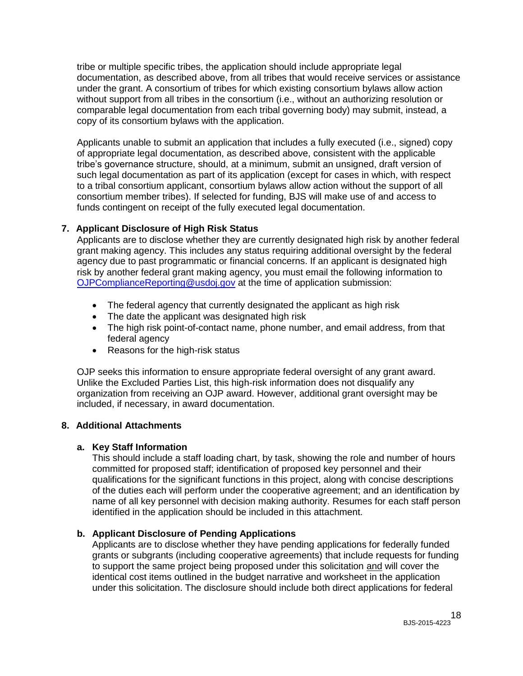tribe or multiple specific tribes, the application should include appropriate legal documentation, as described above, from all tribes that would receive services or assistance under the grant. A consortium of tribes for which existing consortium bylaws allow action without support from all tribes in the consortium (i.e., without an authorizing resolution or comparable legal documentation from each tribal governing body) may submit, instead, a copy of its consortium bylaws with the application.

Applicants unable to submit an application that includes a fully executed (i.e., signed) copy of appropriate legal documentation, as described above, consistent with the applicable tribe's governance structure, should, at a minimum, submit an unsigned, draft version of such legal documentation as part of its application (except for cases in which, with respect to a tribal consortium applicant, consortium bylaws allow action without the support of all consortium member tribes). If selected for funding, BJS will make use of and access to funds contingent on receipt of the fully executed legal documentation.

## **7. Applicant Disclosure of High Risk Status**

Applicants are to disclose whether they are currently designated high risk by another federal grant making agency. This includes any status requiring additional oversight by the federal agency due to past programmatic or financial concerns. If an applicant is designated high risk by another federal grant making agency, you must email the following information to [OJPComplianceReporting@usdoj.gov](mailto:OJPComplianceReporting@usdoj.gov) at the time of application submission:

- The federal agency that currently designated the applicant as high risk
- The date the applicant was designated high risk
- The high risk point-of-contact name, phone number, and email address, from that federal agency
- Reasons for the high-risk status

OJP seeks this information to ensure appropriate federal oversight of any grant award. Unlike the Excluded Parties List, this high-risk information does not disqualify any organization from receiving an OJP award. However, additional grant oversight may be included, if necessary, in award documentation.

# **8. Additional Attachments**

## **a. Key Staff Information**

This should include a staff loading chart, by task, showing the role and number of hours committed for proposed staff; identification of proposed key personnel and their qualifications for the significant functions in this project, along with concise descriptions of the duties each will perform under the cooperative agreement; and an identification by name of all key personnel with decision making authority. Resumes for each staff person identified in the application should be included in this attachment.

# **b. Applicant Disclosure of Pending Applications**

Applicants are to disclose whether they have pending applications for federally funded grants or subgrants (including cooperative agreements) that include requests for funding to support the same project being proposed under this solicitation and will cover the identical cost items outlined in the budget narrative and worksheet in the application under this solicitation. The disclosure should include both direct applications for federal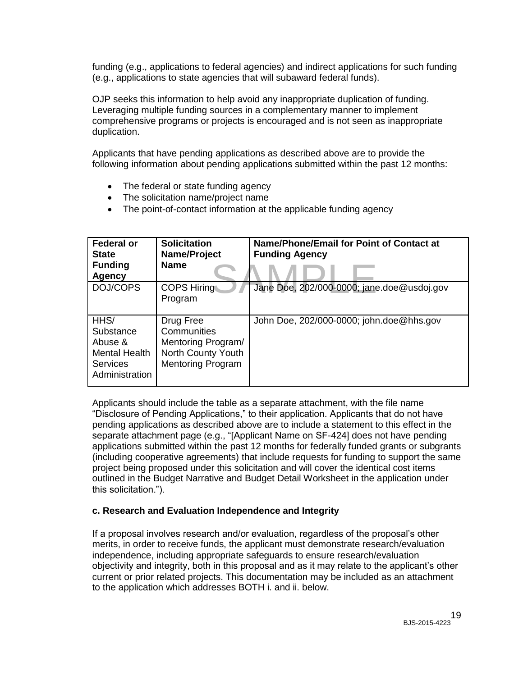funding (e.g., applications to federal agencies) and indirect applications for such funding (e.g., applications to state agencies that will subaward federal funds).

OJP seeks this information to help avoid any inappropriate duplication of funding. Leveraging multiple funding sources in a complementary manner to implement comprehensive programs or projects is encouraged and is not seen as inappropriate duplication.

Applicants that have pending applications as described above are to provide the following information about pending applications submitted within the past 12 months:

- The federal or state funding agency
- The solicitation name/project name
- The point-of-contact information at the applicable funding agency

| <b>Federal or</b><br><b>State</b><br><b>Funding</b><br><b>Agency</b>               | <b>Solicitation</b><br>Name/Project<br><b>Name</b>                                               | Name/Phone/Email for Point of Contact at<br><b>Funding Agency</b> |
|------------------------------------------------------------------------------------|--------------------------------------------------------------------------------------------------|-------------------------------------------------------------------|
| DOJ/COPS                                                                           | <b>COPS Hiring</b><br>Program                                                                    | Jane Doe, 202/000-0000; jane.doe@usdoj.gov                        |
| HHS/<br>Substance<br>Abuse &<br><b>Mental Health</b><br>Services<br>Administration | Drug Free<br>Communities<br>Mentoring Program/<br>North County Youth<br><b>Mentoring Program</b> | John Doe, 202/000-0000; john.doe@hhs.gov                          |

Applicants should include the table as a separate attachment, with the file name "Disclosure of Pending Applications," to their application. Applicants that do not have pending applications as described above are to include a statement to this effect in the separate attachment page (e.g., "[Applicant Name on SF-424] does not have pending applications submitted within the past 12 months for federally funded grants or subgrants (including cooperative agreements) that include requests for funding to support the same project being proposed under this solicitation and will cover the identical cost items outlined in the Budget Narrative and Budget Detail Worksheet in the application under this solicitation.").

#### **c. Research and Evaluation Independence and Integrity**

If a proposal involves research and/or evaluation, regardless of the proposal's other merits, in order to receive funds, the applicant must demonstrate research/evaluation independence, including appropriate safeguards to ensure research/evaluation objectivity and integrity, both in this proposal and as it may relate to the applicant's other current or prior related projects. This documentation may be included as an attachment to the application which addresses BOTH i. and ii. below.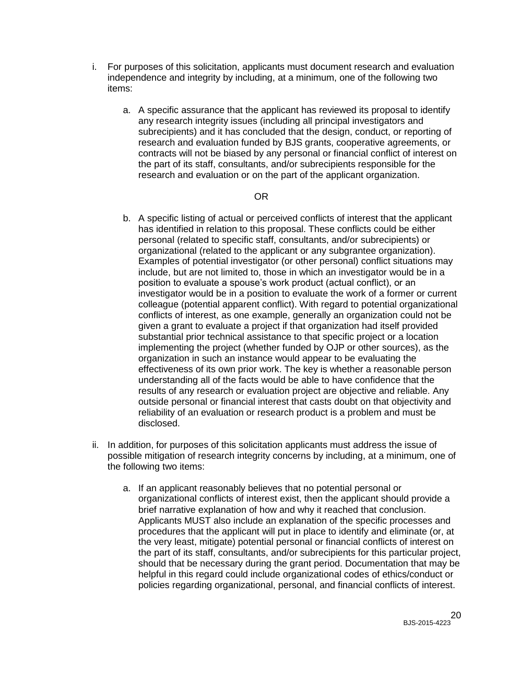- i. For purposes of this solicitation, applicants must document research and evaluation independence and integrity by including, at a minimum, one of the following two items:
	- a. A specific assurance that the applicant has reviewed its proposal to identify any research integrity issues (including all principal investigators and subrecipients) and it has concluded that the design, conduct, or reporting of research and evaluation funded by BJS grants, cooperative agreements, or contracts will not be biased by any personal or financial conflict of interest on the part of its staff, consultants, and/or subrecipients responsible for the research and evaluation or on the part of the applicant organization.

#### OR

- b. A specific listing of actual or perceived conflicts of interest that the applicant has identified in relation to this proposal. These conflicts could be either personal (related to specific staff, consultants, and/or subrecipients) or organizational (related to the applicant or any subgrantee organization). Examples of potential investigator (or other personal) conflict situations may include, but are not limited to, those in which an investigator would be in a position to evaluate a spouse's work product (actual conflict), or an investigator would be in a position to evaluate the work of a former or current colleague (potential apparent conflict). With regard to potential organizational conflicts of interest, as one example, generally an organization could not be given a grant to evaluate a project if that organization had itself provided substantial prior technical assistance to that specific project or a location implementing the project (whether funded by OJP or other sources), as the organization in such an instance would appear to be evaluating the effectiveness of its own prior work. The key is whether a reasonable person understanding all of the facts would be able to have confidence that the results of any research or evaluation project are objective and reliable. Any outside personal or financial interest that casts doubt on that objectivity and reliability of an evaluation or research product is a problem and must be disclosed.
- ii. In addition, for purposes of this solicitation applicants must address the issue of possible mitigation of research integrity concerns by including, at a minimum, one of the following two items:
	- a. If an applicant reasonably believes that no potential personal or organizational conflicts of interest exist, then the applicant should provide a brief narrative explanation of how and why it reached that conclusion. Applicants MUST also include an explanation of the specific processes and procedures that the applicant will put in place to identify and eliminate (or, at the very least, mitigate) potential personal or financial conflicts of interest on the part of its staff, consultants, and/or subrecipients for this particular project, should that be necessary during the grant period. Documentation that may be helpful in this regard could include organizational codes of ethics/conduct or policies regarding organizational, personal, and financial conflicts of interest.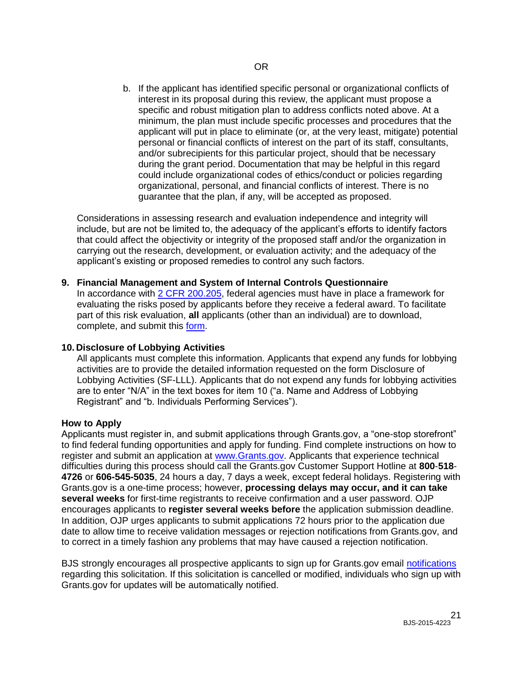b. If the applicant has identified specific personal or organizational conflicts of interest in its proposal during this review, the applicant must propose a specific and robust mitigation plan to address conflicts noted above. At a minimum, the plan must include specific processes and procedures that the applicant will put in place to eliminate (or, at the very least, mitigate) potential personal or financial conflicts of interest on the part of its staff, consultants, and/or subrecipients for this particular project, should that be necessary during the grant period. Documentation that may be helpful in this regard could include organizational codes of ethics/conduct or policies regarding organizational, personal, and financial conflicts of interest. There is no guarantee that the plan, if any, will be accepted as proposed.

Considerations in assessing research and evaluation independence and integrity will include, but are not be limited to, the adequacy of the applicant's efforts to identify factors that could affect the objectivity or integrity of the proposed staff and/or the organization in carrying out the research, development, or evaluation activity; and the adequacy of the applicant's existing or proposed remedies to control any such factors.

#### **9. Financial Management and System of Internal Controls Questionnaire**

In accordance with [2 CFR 200.205,](http://www.ecfr.gov/cgi-bin/text-idx?SID=2ebfb13012953333f32ed4cf1411e33e&node=pt2.1.200&rgn=div5#se2.1.200_1205) federal agencies must have in place a framework for evaluating the risks posed by applicants before they receive a federal award. To facilitate part of this risk evaluation, **all** applicants (other than an individual) are to download, complete, and submit this [form.](http://ojp.gov/funding/Apply/Resources/FinancialCapability.pdf)

#### **10. Disclosure of Lobbying Activities**

All applicants must complete this information. Applicants that expend any funds for lobbying activities are to provide the detailed information requested on the form Disclosure of Lobbying Activities (SF-LLL). Applicants that do not expend any funds for lobbying activities are to enter "N/A" in the text boxes for item 10 ("a. Name and Address of Lobbying Registrant" and "b. Individuals Performing Services").

#### <span id="page-20-0"></span>**How to Apply**

Applicants must register in, and submit applications through Grants.gov, a "one-stop storefront" to find federal funding opportunities and apply for funding. Find complete instructions on how to register and submit an application at [www.Grants.gov.](http://www.grants.gov/) Applicants that experience technical difficulties during this process should call the Grants.gov Customer Support Hotline at **800**-**518**- **4726** or **606-545-5035**, 24 hours a day, 7 days a week, except federal holidays. Registering with Grants.gov is a one-time process; however, **processing delays may occur, and it can take several weeks** for first-time registrants to receive confirmation and a user password. OJP encourages applicants to **register several weeks before** the application submission deadline. In addition, OJP urges applicants to submit applications 72 hours prior to the application due date to allow time to receive validation messages or rejection notifications from Grants.gov, and to correct in a timely fashion any problems that may have caused a rejection notification.

BJS strongly encourages all prospective applicants to sign up for Grants.gov email [notifications](http://www.grants.gov/web/grants/manage-subscriptions.html) regarding this solicitation. If this solicitation is cancelled or modified, individuals who sign up with Grants.gov for updates will be automatically notified.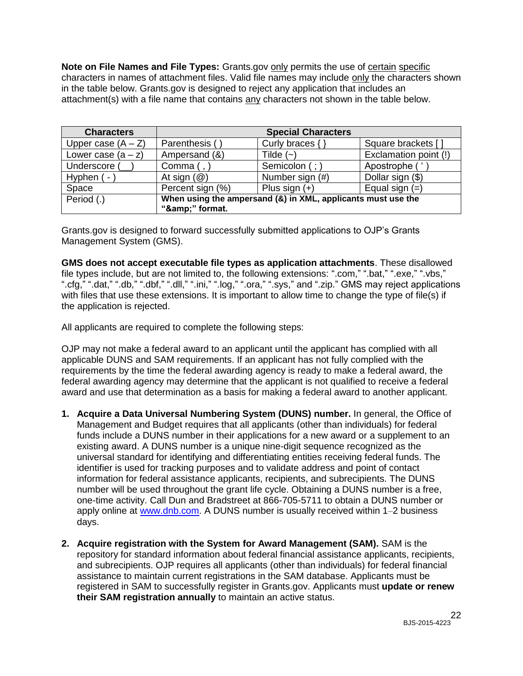**Note on File Names and File Types:** Grants.gov only permits the use of certain specific characters in names of attachment files. Valid file names may include only the characters shown in the table below. Grants.gov is designed to reject any application that includes an attachment(s) with a file name that contains any characters not shown in the table below.

| <b>Characters</b>    |                                                                             | <b>Special Characters</b> |                       |
|----------------------|-----------------------------------------------------------------------------|---------------------------|-----------------------|
| Upper case $(A - Z)$ | Parenthesis (                                                               | Curly braces {            | Square brackets []    |
| Lower case $(a - z)$ | Ampersand (&)                                                               | Tilde $(-)$               | Exclamation point (!) |
| Underscore (         | Comma (,                                                                    | Semicolon (;)             | Apostrophe ('         |
| Hyphen (-            | At sign $(\mathcal{Q})$                                                     | Number sign (#)           | Dollar sign (\$)      |
| Space                | Percent sign (%)                                                            | Plus sign $(+)$           | Equal sign $(=)$      |
| Period (.)           | When using the ampersand (&) in XML, applicants must use the<br>"&" format. |                           |                       |

Grants.gov is designed to forward successfully submitted applications to OJP's Grants Management System (GMS).

**GMS does not accept executable file types as application attachments**. These disallowed file types include, but are not limited to, the following extensions: ".com," ".bat," ".exe," ".vbs," ".cfg," ".dat," ".db," ".dbf," ".dll," ".ini," ".log," ".ora," ".sys," and ".zip." GMS may reject applications with files that use these extensions. It is important to allow time to change the type of file(s) if the application is rejected.

All applicants are required to complete the following steps:

OJP may not make a federal award to an applicant until the applicant has complied with all applicable DUNS and SAM requirements. If an applicant has not fully complied with the requirements by the time the federal awarding agency is ready to make a federal award, the federal awarding agency may determine that the applicant is not qualified to receive a federal award and use that determination as a basis for making a federal award to another applicant.

- **1. Acquire a Data Universal Numbering System (DUNS) number.** In general, the Office of Management and Budget requires that all applicants (other than individuals) for federal funds include a DUNS number in their applications for a new award or a supplement to an existing award. A DUNS number is a unique nine-digit sequence recognized as the universal standard for identifying and differentiating entities receiving federal funds. The identifier is used for tracking purposes and to validate address and point of contact information for federal assistance applicants, recipients, and subrecipients. The DUNS number will be used throughout the grant life cycle. Obtaining a DUNS number is a free, one-time activity. Call Dun and Bradstreet at 866-705-5711 to obtain a DUNS number or apply online at [www.dnb.com.](http://www.dnb.com/) A DUNS number is usually received within 1-2 business days.
- **2. Acquire registration with the System for Award Management (SAM).** SAM is the repository for standard information about federal financial assistance applicants, recipients, and subrecipients. OJP requires all applicants (other than individuals) for federal financial assistance to maintain current registrations in the SAM database. Applicants must be registered in SAM to successfully register in Grants.gov. Applicants must **update or renew their SAM registration annually** to maintain an active status.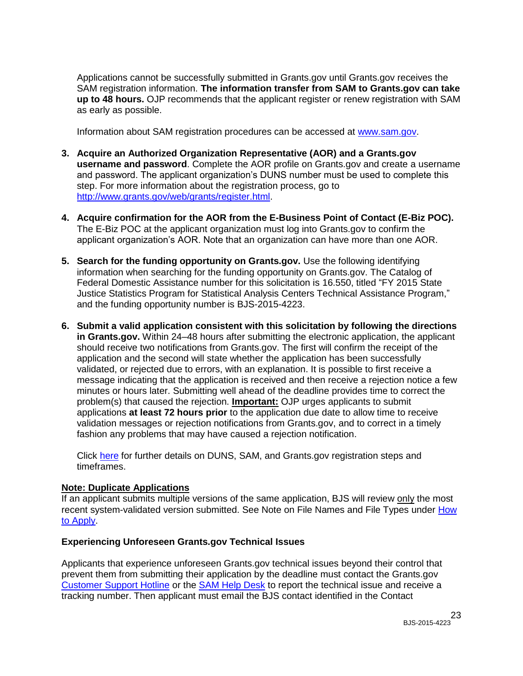Applications cannot be successfully submitted in Grants.gov until Grants.gov receives the SAM registration information. **The information transfer from SAM to Grants.gov can take up to 48 hours.** OJP recommends that the applicant register or renew registration with SAM as early as possible.

Information about SAM registration procedures can be accessed at [www.sam.gov.](https://www.sam.gov/portal/public/SAM/?portal:componentId=1f834b82-3fed-4eb3-a1f8-ea1f226a7955&portal:type=action&interactionstate=JBPNS_rO0ABXc0ABBfanNmQnJpZGdlVmlld0lkAAAAAQATL2pzZi9uYXZpZ2F0aW9uLmpzcAAHX19FT0ZfXw**)

- **3. Acquire an Authorized Organization Representative (AOR) and a Grants.gov username and password**. Complete the AOR profile on Grants.gov and create a username and password. The applicant organization's DUNS number must be used to complete this step. For more information about the registration process, go to [http://www.grants.gov/web/grants/register.html.](http://www.grants.gov/web/grants/register.html)
- **4. Acquire confirmation for the AOR from the E-Business Point of Contact (E-Biz POC).**  The E-Biz POC at the applicant organization must log into Grants.gov to confirm the applicant organization's AOR. Note that an organization can have more than one AOR.
- **5. Search for the funding opportunity on Grants.gov.** Use the following identifying information when searching for the funding opportunity on Grants.gov. The Catalog of Federal Domestic Assistance number for this solicitation is 16.550, titled "FY 2015 State Justice Statistics Program for Statistical Analysis Centers Technical Assistance Program," and the funding opportunity number is BJS-2015-4223.
- **6. Submit a valid application consistent with this solicitation by following the directions in Grants.gov.** Within 24–48 hours after submitting the electronic application, the applicant should receive two notifications from Grants.gov. The first will confirm the receipt of the application and the second will state whether the application has been successfully validated, or rejected due to errors, with an explanation. It is possible to first receive a message indicating that the application is received and then receive a rejection notice a few minutes or hours later. Submitting well ahead of the deadline provides time to correct the problem(s) that caused the rejection. **Important:** OJP urges applicants to submit applications **at least 72 hours prior** to the application due date to allow time to receive validation messages or rejection notifications from Grants.gov, and to correct in a timely fashion any problems that may have caused a rejection notification.

Click [here](http://www.grants.gov/web/grants/applicants/organization-registration.html) for further details on DUNS, SAM, and Grants.gov registration steps and timeframes.

#### **Note: Duplicate Applications**

If an applicant submits multiple versions of the same application, BJS will review only the most recent system-validated version submitted. See Note on File Names and File Types under How [to Apply.](#page-20-0)

#### **Experiencing Unforeseen Grants.gov Technical Issues**

Applicants that experience unforeseen Grants.gov technical issues beyond their control that prevent them from submitting their application by the deadline must contact the Grants.gov [Customer Support Hotline](http://www.grants.gov/web/grants/about/contact-us.html) or the [SAM Help Desk](https://www.fsd.gov/fsd-gov/home.do) to report the technical issue and receive a tracking number. Then applicant must email the BJS contact identified in the Contact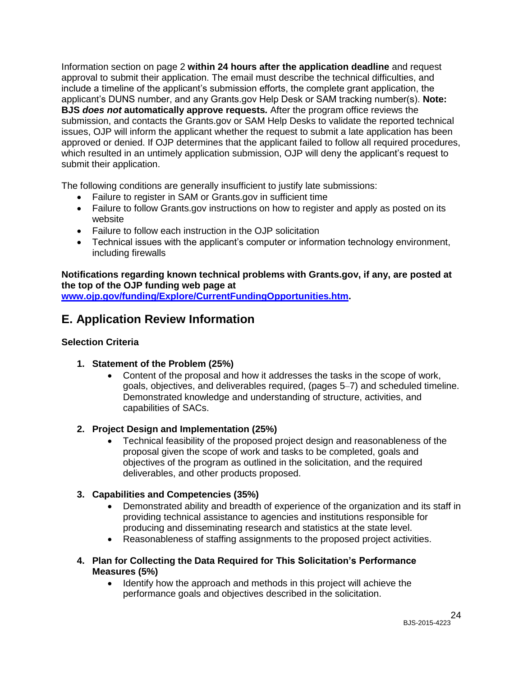Information section on page 2 **within 24 hours after the application deadline** and request approval to submit their application. The email must describe the technical difficulties, and include a timeline of the applicant's submission efforts, the complete grant application, the applicant's DUNS number, and any Grants.gov Help Desk or SAM tracking number(s). **Note: BJS** *does not* **automatically approve requests***.* After the program office reviews the submission, and contacts the Grants.gov or SAM Help Desks to validate the reported technical issues, OJP will inform the applicant whether the request to submit a late application has been approved or denied. If OJP determines that the applicant failed to follow all required procedures, which resulted in an untimely application submission, OJP will deny the applicant's request to submit their application.

The following conditions are generally insufficient to justify late submissions:

- Failure to register in SAM or Grants.gov in sufficient time
- Failure to follow Grants.gov instructions on how to register and apply as posted on its website
- Failure to follow each instruction in the OJP solicitation
- Technical issues with the applicant's computer or information technology environment, including firewalls

## **Notifications regarding known technical problems with Grants.gov, if any, are posted at the top of the OJP funding web page at**

**[www.ojp.gov/funding/Explore/CurrentFundingOpportunities.htm.](http://ojp.gov/funding/Explore/CurrentFundingOpportunities.htm)**

# <span id="page-23-0"></span>**E. Application Review Information**

## <span id="page-23-1"></span>**Selection Criteria**

- **1. Statement of the Problem (25%)**
	- Content of the proposal and how it addresses the tasks in the scope of work, goals, objectives, and deliverables required, (pages 5–7) and scheduled timeline. Demonstrated knowledge and understanding of structure, activities, and capabilities of SACs.

# **2. Project Design and Implementation (25%)**

 Technical feasibility of the proposed project design and reasonableness of the proposal given the scope of work and tasks to be completed, goals and objectives of the program as outlined in the solicitation, and the required deliverables, and other products proposed.

## **3. Capabilities and Competencies (35%)**

- Demonstrated ability and breadth of experience of the organization and its staff in providing technical assistance to agencies and institutions responsible for producing and disseminating research and statistics at the state level.
- Reasonableness of staffing assignments to the proposed project activities.
- **4. Plan for Collecting the Data Required for This Solicitation's Performance Measures (5%)**
	- Identify how the approach and methods in this project will achieve the performance goals and objectives described in the solicitation.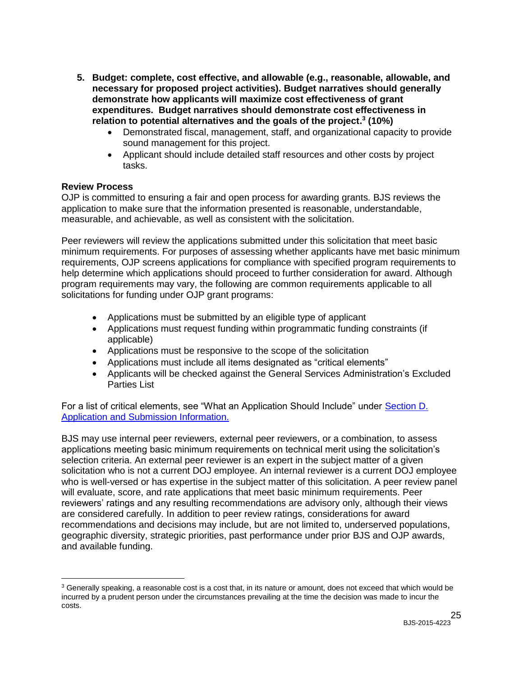- **5. Budget: complete, cost effective, and allowable (e.g., reasonable, allowable, and necessary for proposed project activities). Budget narratives should generally demonstrate how applicants will maximize cost effectiveness of grant expenditures. Budget narratives should demonstrate cost effectiveness in relation to potential alternatives and the goals of the project. 3 (10%)**
	- Demonstrated fiscal, management, staff, and organizational capacity to provide sound management for this project.
	- Applicant should include detailed staff resources and other costs by project tasks.

#### <span id="page-24-0"></span>**Review Process**

 $\overline{a}$ 

OJP is committed to ensuring a fair and open process for awarding grants. BJS reviews the application to make sure that the information presented is reasonable, understandable, measurable, and achievable, as well as consistent with the solicitation.

Peer reviewers will review the applications submitted under this solicitation that meet basic minimum requirements. For purposes of assessing whether applicants have met basic minimum requirements, OJP screens applications for compliance with specified program requirements to help determine which applications should proceed to further consideration for award. Although program requirements may vary, the following are common requirements applicable to all solicitations for funding under OJP grant programs:

- Applications must be submitted by an eligible type of applicant
- Applications must request funding within programmatic funding constraints (if applicable)
- Applications must be responsive to the scope of the solicitation
- Applications must include all items designated as "critical elements"
- Applicants will be checked against the General Services Administration's Excluded Parties List

For a list of critical elements, see "What an Application Should Include" under [Section D.](#page-10-1)  [Application and Submission Information.](#page-10-1)

BJS may use internal peer reviewers, external peer reviewers, or a combination, to assess applications meeting basic minimum requirements on technical merit using the solicitation's selection criteria. An external peer reviewer is an expert in the subject matter of a given solicitation who is not a current DOJ employee. An internal reviewer is a current DOJ employee who is well-versed or has expertise in the subject matter of this solicitation. A peer review panel will evaluate, score, and rate applications that meet basic minimum requirements. Peer reviewers' ratings and any resulting recommendations are advisory only, although their views are considered carefully. In addition to peer review ratings, considerations for award recommendations and decisions may include, but are not limited to, underserved populations, geographic diversity, strategic priorities, past performance under prior BJS and OJP awards, and available funding.

<sup>&</sup>lt;sup>3</sup> Generally speaking, a reasonable cost is a cost that, in its nature or amount, does not exceed that which would be incurred by a prudent person under the circumstances prevailing at the time the decision was made to incur the costs.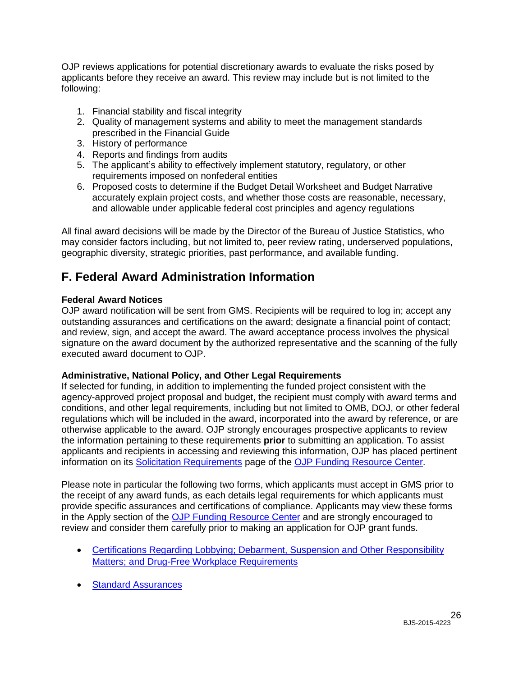OJP reviews applications for potential discretionary awards to evaluate the risks posed by applicants before they receive an award. This review may include but is not limited to the following:

- 1. Financial stability and fiscal integrity
- 2. Quality of management systems and ability to meet the management standards prescribed in the Financial Guide
- 3. History of performance
- 4. Reports and findings from audits
- 5. The applicant's ability to effectively implement statutory, regulatory, or other requirements imposed on nonfederal entities
- 6. Proposed costs to determine if the Budget Detail Worksheet and Budget Narrative accurately explain project costs, and whether those costs are reasonable, necessary, and allowable under applicable federal cost principles and agency regulations

All final award decisions will be made by the Director of the Bureau of Justice Statistics, who may consider factors including, but not limited to, peer review rating, underserved populations, geographic diversity, strategic priorities, past performance, and available funding.

# <span id="page-25-0"></span>**F. Federal Award Administration Information**

#### <span id="page-25-1"></span>**Federal Award Notices**

OJP award notification will be sent from GMS. Recipients will be required to log in; accept any outstanding assurances and certifications on the award; designate a financial point of contact; and review, sign, and accept the award. The award acceptance process involves the physical signature on the award document by the authorized representative and the scanning of the fully executed award document to OJP.

#### <span id="page-25-2"></span>**Administrative, National Policy, and Other Legal Requirements**

If selected for funding, in addition to implementing the funded project consistent with the agency-approved project proposal and budget, the recipient must comply with award terms and conditions, and other legal requirements, including but not limited to OMB, DOJ, or other federal regulations which will be included in the award, incorporated into the award by reference, or are otherwise applicable to the award. OJP strongly encourages prospective applicants to review the information pertaining to these requirements **prior** to submitting an application. To assist applicants and recipients in accessing and reviewing this information, OJP has placed pertinent information on its [Solicitation Requirements](http://ojp.gov/funding/Explore/SolicitationRequirements/index.htm) page of the OJP [Funding Resource Center.](http://ojp.gov/funding/index.htm)

Please note in particular the following two forms, which applicants must accept in GMS prior to the receipt of any award funds, as each details legal requirements for which applicants must provide specific assurances and certifications of compliance. Applicants may view these forms in the Apply section of the [OJP Funding Resource Center](http://ojp.gov/funding/index.htm) and are strongly encouraged to review and consider them carefully prior to making an application for OJP grant funds.

- [Certifications Regarding Lobbying; Debarment, Suspension and Other Responsibility](http://ojp.gov/funding/Apply/Forms.htm)  [Matters; and Drug-Free Workplace Requirements](http://ojp.gov/funding/Apply/Forms.htm)
- **[Standard Assurances](http://ojp.gov/funding/Apply/Forms.htm)**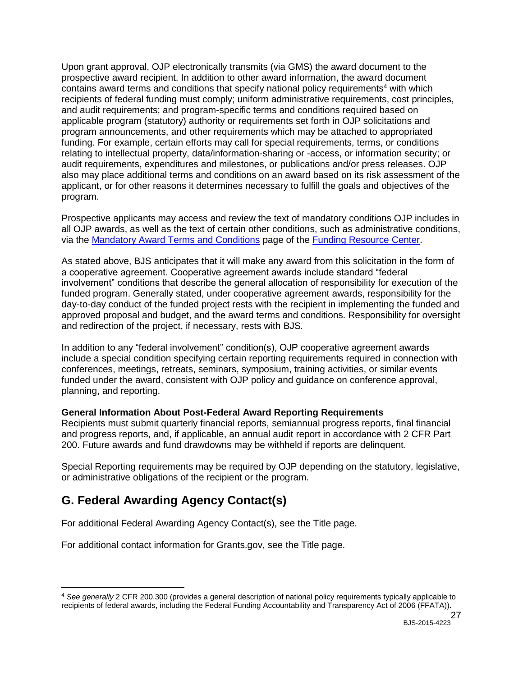Upon grant approval, OJP electronically transmits (via GMS) the award document to the prospective award recipient. In addition to other award information, the award document contains award terms and conditions that specify national policy requirements<sup>4</sup> with which recipients of federal funding must comply; uniform administrative requirements, cost principles, and audit requirements; and program-specific terms and conditions required based on applicable program (statutory) authority or requirements set forth in OJP solicitations and program announcements, and other requirements which may be attached to appropriated funding. For example, certain efforts may call for special requirements, terms, or conditions relating to intellectual property, data/information-sharing or -access, or information security; or audit requirements, expenditures and milestones, or publications and/or press releases. OJP also may place additional terms and conditions on an award based on its risk assessment of the applicant, or for other reasons it determines necessary to fulfill the goals and objectives of the program.

Prospective applicants may access and review the text of mandatory conditions OJP includes in all OJP awards, as well as the text of certain other conditions, such as administrative conditions, via the [Mandatory Award Terms and Conditions](http://ojp.gov/funding/Explore/SolicitationRequirements/MandatoryTermsConditions.htm) page of the [Funding Resource Center.](http://ojp.gov/funding/index.htm)

As stated above, BJS anticipates that it will make any award from this solicitation in the form of a cooperative agreement. Cooperative agreement awards include standard "federal involvement" conditions that describe the general allocation of responsibility for execution of the funded program. Generally stated, under cooperative agreement awards, responsibility for the day-to-day conduct of the funded project rests with the recipient in implementing the funded and approved proposal and budget, and the award terms and conditions. Responsibility for oversight and redirection of the project, if necessary, rests with BJS*.*

In addition to any "federal involvement" condition(s), OJP cooperative agreement awards include a special condition specifying certain reporting requirements required in connection with conferences, meetings, retreats, seminars, symposium, training activities, or similar events funded under the award, consistent with OJP policy and guidance on conference approval, planning, and reporting.

#### <span id="page-26-0"></span>**General Information About Post-Federal Award Reporting Requirements**

Recipients must submit quarterly financial reports, semiannual progress reports, final financial and progress reports, and, if applicable, an annual audit report in accordance with 2 CFR Part 200. Future awards and fund drawdowns may be withheld if reports are delinquent.

Special Reporting requirements may be required by OJP depending on the statutory, legislative, or administrative obligations of the recipient or the program.

# <span id="page-26-1"></span>**G. Federal Awarding Agency Contact(s)**

For additional Federal Awarding Agency Contact(s), see the Title page.

For additional contact information for Grants.gov, see the Title page.

 $\overline{a}$ <sup>4</sup> *See generally* 2 CFR 200.300 (provides a general description of national policy requirements typically applicable to recipients of federal awards, including the Federal Funding Accountability and Transparency Act of 2006 (FFATA)).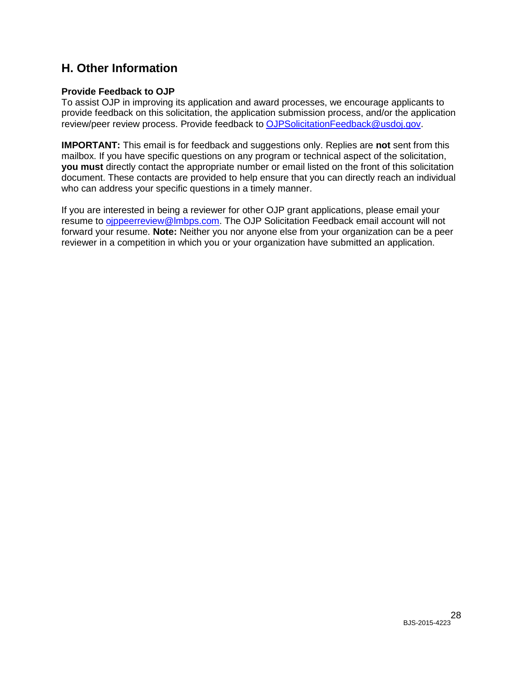# <span id="page-27-0"></span>**H. Other Information**

### <span id="page-27-1"></span>**Provide Feedback to OJP**

To assist OJP in improving its application and award processes, we encourage applicants to provide feedback on this solicitation, the application submission process, and/or the application review/peer review process. Provide feedback to [OJPSolicitationFeedback@usdoj.gov.](mailto:OJPSolicitationFeedback@usdoj.gov)

**IMPORTANT:** This email is for feedback and suggestions only. Replies are **not** sent from this mailbox. If you have specific questions on any program or technical aspect of the solicitation, **you must** directly contact the appropriate number or email listed on the front of this solicitation document. These contacts are provided to help ensure that you can directly reach an individual who can address your specific questions in a timely manner.

If you are interested in being a reviewer for other OJP grant applications, please email your resume to oppeerreview@lmbps.com. The OJP Solicitation Feedback email account will not forward your resume. **Note:** Neither you nor anyone else from your organization can be a peer reviewer in a competition in which you or your organization have submitted an application.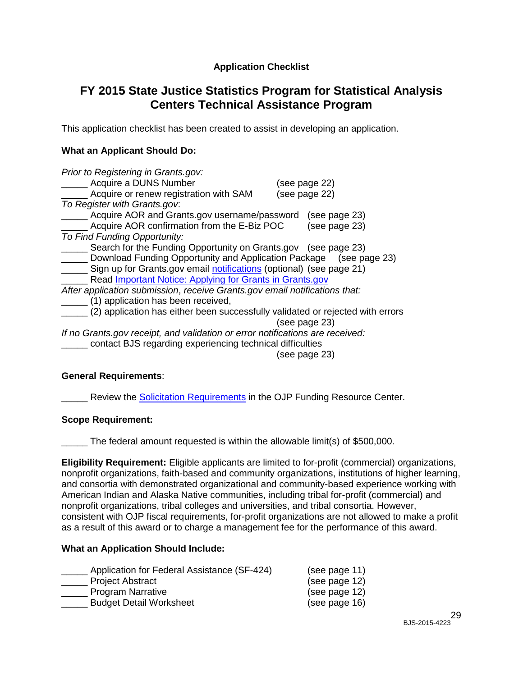## **Application Checklist**

# <span id="page-28-0"></span>**FY 2015 State Justice Statistics Program for Statistical Analysis Centers Technical Assistance Program**

This application checklist has been created to assist in developing an application.

#### **What an Applicant Should Do:**

| Prior to Registering in Grants.gov:                                            |               |
|--------------------------------------------------------------------------------|---------------|
| Acquire a DUNS Number                                                          | (see page 22) |
| Acquire or renew registration with SAM                                         | (see page 22) |
| To Register with Grants.gov.                                                   |               |
| Acquire AOR and Grants.gov username/password                                   | (see page 23) |
| Acquire AOR confirmation from the E-Biz POC                                    | (see page 23) |
| To Find Funding Opportunity:                                                   |               |
| Search for the Funding Opportunity on Grants.gov (see page 23)                 |               |
| Download Funding Opportunity and Application Package (see page 23)             |               |
| Sign up for Grants.gov email notifications (optional) (see page 21)            |               |
| Read <b>Important Notice: Applying for Grants in Grants.gov</b>                |               |
| After application submission, receive Grants.gov email notifications that:     |               |
| (1) application has been received,                                             |               |
| (2) application has either been successfully validated or rejected with errors |               |
|                                                                                | (see page 23) |
| If no Grants gov receipt, and validation or error notifications are received:  |               |
| contact BJS regarding experiencing technical difficulties                      |               |
|                                                                                | (see page 23) |

## **General Requirements**:

**EXECTE:** Review the **Solicitation [Requirements](http://ojp.gov/funding/Explore/SolicitationRequirements/index.htm)** in the OJP Funding Resource Center.

#### **Scope Requirement:**

\_\_\_\_\_ The federal amount requested is within the allowable limit(s) of \$500,000.

**Eligibility Requirement:** Eligible applicants are limited to for-profit (commercial) organizations, nonprofit organizations, faith-based and community organizations, institutions of higher learning, and consortia with demonstrated organizational and community-based experience working with American Indian and Alaska Native communities, including tribal for-profit (commercial) and nonprofit organizations, tribal colleges and universities, and tribal consortia. However, consistent with OJP fiscal requirements, for-profit organizations are not allowed to make a profit as a result of this award or to charge a management fee for the performance of this award.

#### **What an Application Should Include:**

| Application for Federal Assistance (SF-424) | (see page 11) |
|---------------------------------------------|---------------|
| <b>Project Abstract</b>                     | (see page 12) |
| <b>Program Narrative</b>                    | (see page 12) |
| <b>Budget Detail Worksheet</b>              | (see page 16) |
|                                             |               |